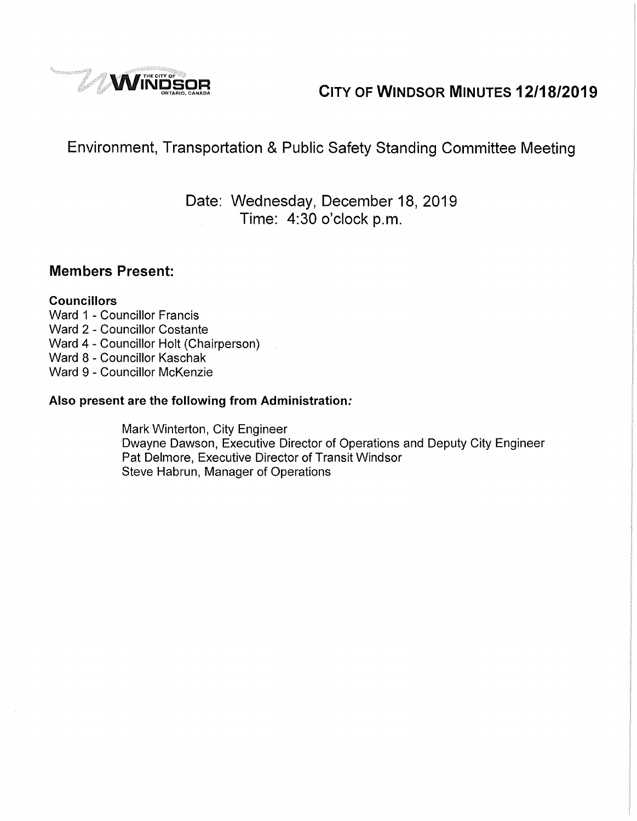

# **Windsor MINUTES 12/18/2019**

# Environment, Transportation & Public Safety Standing Committee Meeting

Date: Wednesday, December 18, 2019 Time: 4:30 o'clock p.m.

### **Members Present:**

### **Councillors**

- Ward 1 Councillor Francis Ward 2 - Councillor Costante Ward 4 - Councillor Holt (Chairperson) Ward 8 - Councillor Kaschak Ward 9 - Councillor McKenzie
- **Also present are the following from Administration:**

Mark Winterton, City Engineer Dwayne Dawson, Executive Director of Operations and Deputy City Engineer Pat Delmore, Executive Director of Transit Windsor Steve Habrun, Manager of Operations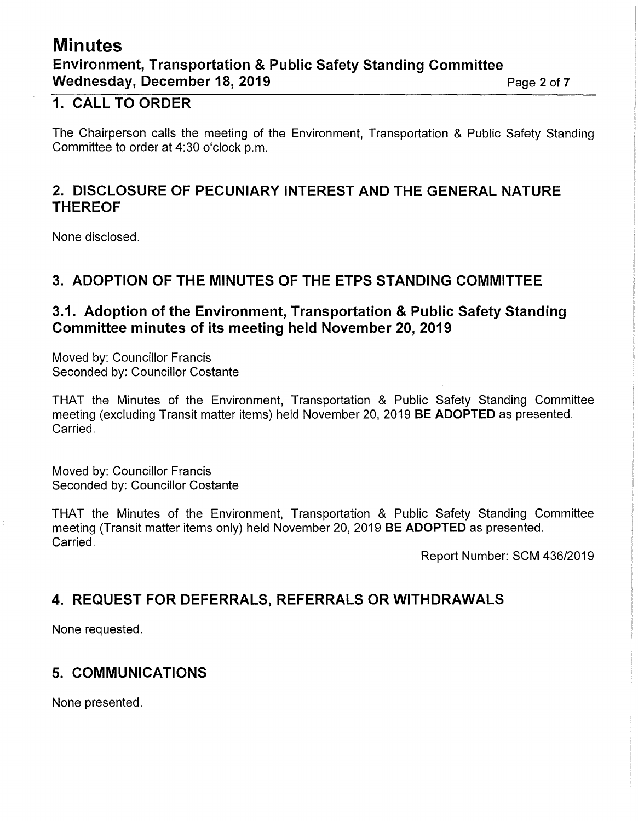## **Minutes Environment, Transportation** & **Public Safety Standing Committee Wednesday, December 18, 2019 Page 2 of 7**

### **1. CALL TO ORDER**

The Chairperson calls the meeting of the Environment, Transportation & Public Safety Standing Committee to order at 4:30 o'clock p.m.

### **2. DISCLOSURE OF PECUNIARY INTEREST AND THE GENERAL NATURE THEREOF**

None disclosed.

### **3. ADOPTION OF THE MINUTES OF THE ETPS STANDING COMMITTEE**

### **3.1. Adoption of the Environment, Transportation** & **Public Safety Standing Committee minutes of its meeting held November 20, 2019**

Moved by: Councillor Francis Seconded by: Councillor Costante

THAT the Minutes of the Environment, Transportation & Public Safety Standing Committee meeting (excluding Transit matter items) held November 20, 2019 **BE ADOPTED** as presented. Carried.

Moved by: Councillor Francis Seconded by: Councillor Costante

THAT the Minutes of the Environment, Transportation & Public Safety Standing Committee meeting (Transit matter items only) held November 20, 2019 **BE ADOPTED** as presented. Carried.

Report Number: SCM 436/2019

### **4. REQUEST FOR DEFERRALS, REFERRALS OR WITHDRAWALS**

None requested.

### **5. COMMUNICATIONS**

None presented.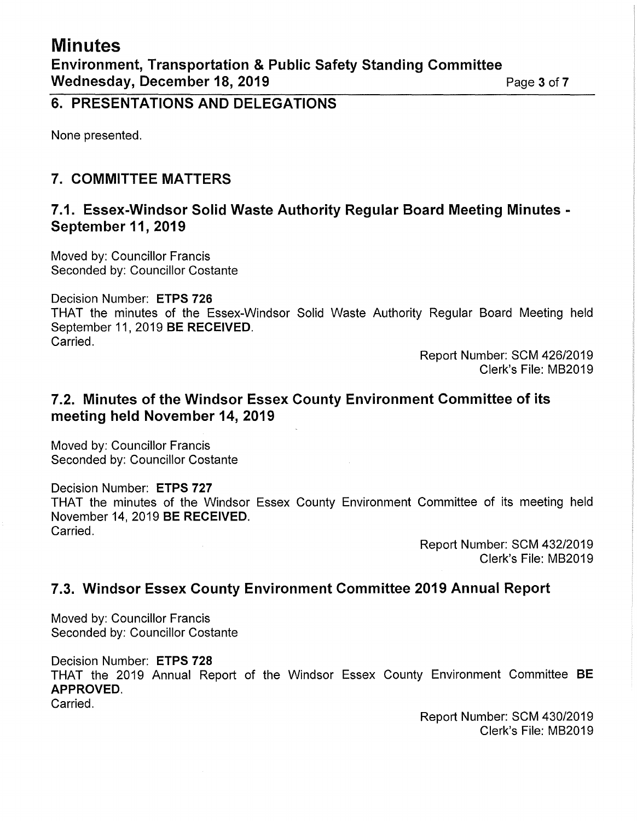### **6. PRESENTATIONS AND DELEGATIONS**

None presented.

### **7. COMMITTEE MATTERS**

### **7.1. Essex-Windsor Solid Waste Authority Regular Board Meeting Minutes** - **September 11, 2019**

Moved by: Councillor Francis Seconded by: Councillor Costante

Decision Number: **ETPS 726** 

THAT the minutes of the Essex-Windsor Solid Waste Authority Regular Board Meeting held September 11, 2019 **BE RECEIVED.**  Carried.

> Report Number: SCM 426/2019 Clerk's File: MB2019

### **7.2. Minutes of the Windsor Essex County Environment Committee of its meeting held November 14, 2019**

Moved by: Councillor Francis Seconded by: Councillor Costante

Decision Number: **ETPS 727** 

THAT the minutes of the Windsor Essex County Environment Committee of its meeting held November 14, 2019 **BE RECEIVED.**  Carried.

> Report Number: SCM 432/2019 Clerk's File: MB2019

### **7.3. Windsor Essex County Environment Committee 2019 Annual Report**

Moved by: Councillor Francis Seconded by: Councillor Costante

Decision Number: **ETPS 728**  THAT the 2019 Annual Report of the Windsor Essex County Environment Committee **BE APPROVED.** 

Carried.

Report Number: SCM 430/2019 Clerk's File: MB2019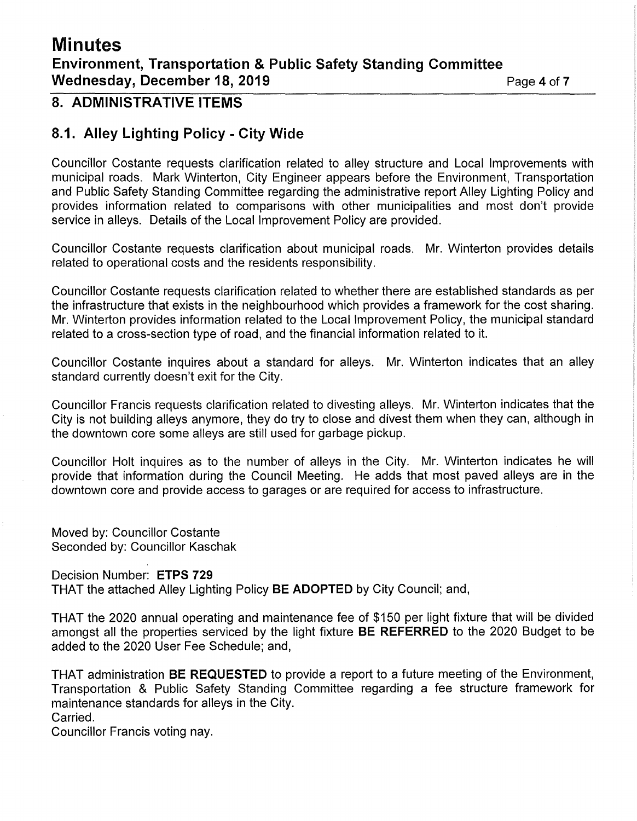# **Minutes**

### **Environment, Transportation & Public Safety Standing Committee Wednesday, December 18, 2019 Page 4 of 7 Page 4 of 7**

### **8. ADMINISTRATIVE ITEMS**

### **8.1. Alley Lighting Policy - City Wide**

Councillor Costante requests clarification related to alley structure and Local Improvements with municipal roads. Mark Winterton, City Engineer appears before the Environment, Transportation and Public Safety Standing Committee regarding the administrative report Alley Lighting Policy and provides information related to comparisons with other municipalities and most don't provide service in alleys. Details of the Local Improvement Policy are provided.

Councillor Costante requests clarification about municipal roads. Mr. Winterton provides details related to operational costs and the residents responsibility.

Councillor Costante requests clarification related to whether there are established standards as per the infrastructure that exists in the neighbourhood which provides a framework for the cost sharing. Mr. Winterton provides information related to the Local Improvement Policy, the municipal standard related to a cross-section type of road, and the financial information related to it.

Councillor Costante inquires about a standard for alleys. Mr. Winterton indicates that an alley standard currently doesn't exit for the City.

Councillor Francis requests clarification related to divesting alleys. Mr. Winterton indicates that the City is not building alleys anymore, they do try to close and divest them when they can, although in the downtown core some alleys are still used for garbage pickup.

Councillor Holt inquires as to the number of alleys in the City. Mr. Winterton indicates he will provide that information during the Council Meeting. He adds that most paved alleys are in the downtown core and provide access to garages or are required for access to infrastructure.

Moved by: Councillor Costante Seconded by: Councillor Kaschak

Decision Number: **ETPS 729** 

THAT the attached Alley Lighting Policy **BE ADOPTED** by City Council; and,

THAT the 2020 annual operating and maintenance fee of \$150 per light fixture that will be divided amongst all the properties serviced by the light fixture **BE REFERRED** to the 2020 Budget to be added to the 2020 User Fee Schedule; and,

THAT administration **BE REQUESTED** to provide a report to a future meeting of the Environment, Transportation & Public Safety Standing Committee regarding a fee structure framework for maintenance standards for alleys in the City. Carried.

Councillor Francis voting nay.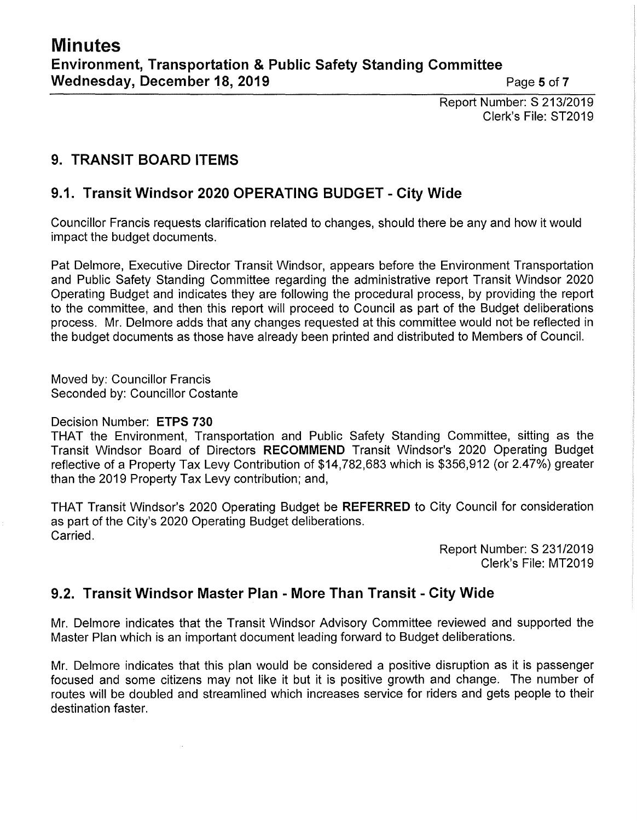Report Number: S 213/2019 Clerk's File: ST2019

## **9. TRANSIT BOARD ITEMS**

### **9.1. Transit Windsor 2020 OPERATING BUDGET - City Wide**

Councillor Francis requests clarification related to changes, should there be any and how it would impact the budget documents.

Pat Delmore, Executive Director Transit Windsor, appears before the Environment Transportation and Public Safety Standing Committee regarding the administrative report Transit Windsor 2020 Operating Budget and indicates they are following the procedural process, by providing the report to the committee, and then this report will proceed to Council as part of the Budget deliberations process. Mr. Delmore adds that any changes requested at this committee would not be reflected in the budget documents as those have already been printed and distributed to Members of Council.

Moved by: Councillor Francis Seconded by: Councillor Costante

### Decision Number: **ETPS 730**

THAT the Environment, Transportation and Public Safety Standing Committee, sitting as the Transit Windsor Board of Directors **RECOMMEND** Transit Windsor's 2020 Operating Budget reflective of a Property Tax Levy Contribution of \$14,782,683 which is \$356,912 (or 2.47%) greater than the 2019 Property Tax Levy contribution; and,

THAT Transit Windsor's 2020 Operating Budget be **REFERRED** to City Council for consideration as part of the City's 2020 Operating Budget deliberations. Carried.

> Report Number: S 231/2019 Clerk's File: MT2019

### **9.2. Transit Windsor Master Plan - More Than Transit - City Wide**

Mr. Delmore indicates that the Transit Windsor Advisory Committee reviewed and supported the Master Plan which is an important document leading forward to Budget deliberations.

Mr. Delmore indicates that this plan would be considered a positive disruption as it is passenger focused and some citizens may not like it but it is positive growth and change. The number of routes will be doubled and streamlined which increases service for riders and gets people to their destination faster.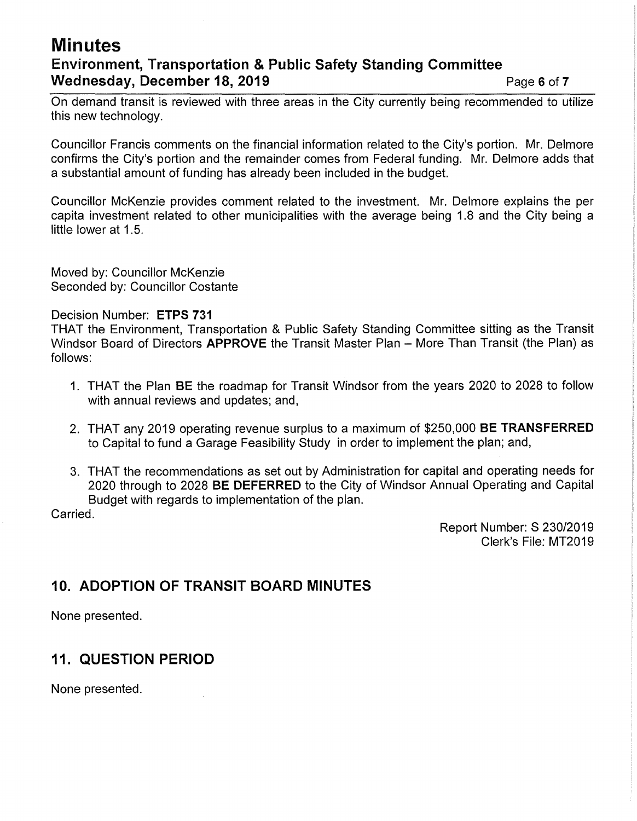### **Minutes Environment, Transportation & Public Safety Standing Committee Wednesday, December 18, 2019 Page 6 of 7 Page 6 of 7**

On demand transit is reviewed with three areas in the City currently being recommended to utilize this new technology.

Councillor Francis comments on the financial information related to the City's portion. Mr. Delmore confirms the City's portion and the remainder comes from Federal funding. Mr. Delmore adds that a substantial amount of funding has already been included in the budget.

Councillor McKenzie provides comment related to the investment. Mr. Delmore explains the per capita investment related to other municipalities with the average being 1.8 and the City being a little lower at 1.5.

Moved by: Councillor McKenzie Seconded by: Councillor Costante

### Decision Number: **ETPS 731**

THAT the Environment, Transportation & Public Safety Standing Committee sitting as the Transit Windsor Board of Directors **APPROVE** the Transit Master Plan - More Than Transit (the Plan) as follows:

- 1. THAT the Plan **BE** the roadmap for Transit Windsor from the years 2020 to 2028 to follow with annual reviews and updates; and,
- 2. THAT any 2019 operating revenue surplus to a maximum of \$250,000 **BE TRANSFERRED**  to Capital to fund a Garage Feasibility Study in order to implement the plan; and,
- 3. THAT the recommendations as set out by Administration for capital and operating needs for 2020 through to 2028 **BE DEFERRED** to the City of Windsor Annual Operating and Capital Budget with regards to implementation of the plan.

Carried.

Report Number: S 230/2019 Clerk's File: MT2019

### **10. ADOPTION OF TRANSIT BOARD MINUTES**

None presented.

### **11. QUESTION PERIOD**

None presented.